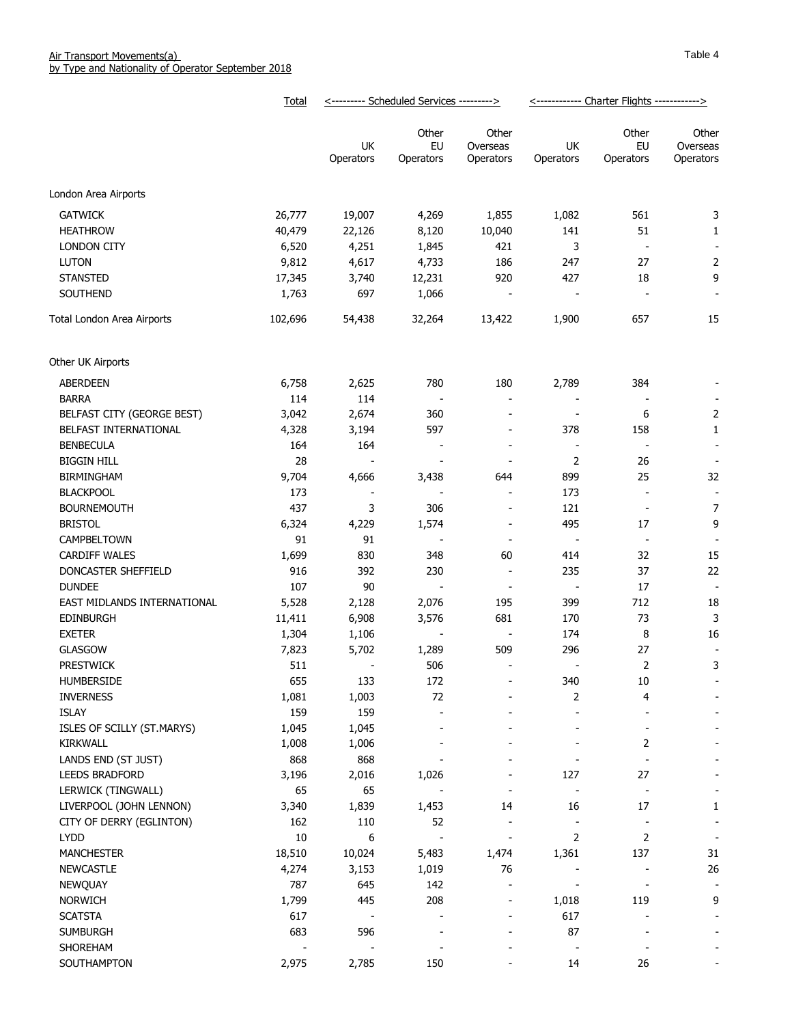|                             | Total   | <--------- Scheduled Services ---------> |                          | <------------ Charter Flights ------------> |                          |                          |                                |
|-----------------------------|---------|------------------------------------------|--------------------------|---------------------------------------------|--------------------------|--------------------------|--------------------------------|
|                             |         | UK<br>Operators                          | Other<br>EU<br>Operators | Other<br>Overseas<br>Operators              | UK<br>Operators          | Other<br>EU<br>Operators | Other<br>Overseas<br>Operators |
| London Area Airports        |         |                                          |                          |                                             |                          |                          |                                |
| <b>GATWICK</b>              | 26,777  | 19,007                                   | 4,269                    | 1,855                                       | 1,082                    | 561                      | 3                              |
| <b>HEATHROW</b>             | 40,479  | 22,126                                   | 8,120                    | 10,040                                      | 141                      | 51                       | $\mathbf{1}$                   |
| LONDON CITY                 | 6,520   | 4,251                                    | 1,845                    | 421                                         | 3                        | $\blacksquare$           |                                |
| <b>LUTON</b>                | 9,812   | 4,617                                    | 4,733                    | 186                                         | 247                      | 27                       | 2                              |
| <b>STANSTED</b>             | 17,345  | 3,740                                    | 12,231                   | 920                                         | 427                      | 18                       | 9                              |
| SOUTHEND                    | 1,763   | 697                                      | 1,066                    | $\blacksquare$                              | $\overline{\phantom{a}}$ | $\overline{\phantom{a}}$ | $\overline{\phantom{a}}$       |
| Total London Area Airports  | 102,696 | 54,438                                   | 32,264                   | 13,422                                      | 1,900                    | 657                      | 15                             |
|                             |         |                                          |                          |                                             |                          |                          |                                |
| Other UK Airports           |         |                                          |                          |                                             |                          |                          |                                |
| <b>ABERDEEN</b>             | 6,758   | 2,625                                    | 780                      | 180                                         | 2,789                    | 384                      |                                |
| <b>BARRA</b>                | 114     | 114                                      | $\overline{\phantom{a}}$ | $\overline{\phantom{a}}$                    | $\overline{\phantom{a}}$ | $\overline{\phantom{a}}$ |                                |
| BELFAST CITY (GEORGE BEST)  | 3,042   | 2,674                                    | 360                      | $\overline{\phantom{a}}$                    | $\overline{\phantom{a}}$ | 6                        | $\overline{2}$                 |
| BELFAST INTERNATIONAL       | 4,328   | 3,194                                    | 597                      | $\overline{\phantom{a}}$                    | 378                      | 158                      | 1                              |
| <b>BENBECULA</b>            | 164     | 164                                      | $\overline{\phantom{a}}$ | $\overline{\phantom{a}}$                    | $\overline{\phantom{a}}$ | $\overline{\phantom{a}}$ | $\overline{\phantom{a}}$       |
| <b>BIGGIN HILL</b>          | 28      | $\blacksquare$                           | $\overline{\phantom{a}}$ | $\overline{\phantom{a}}$                    | 2                        | 26                       | $\overline{\phantom{a}}$       |
| <b>BIRMINGHAM</b>           | 9,704   | 4,666                                    | 3,438                    | 644                                         | 899                      | 25                       | 32                             |
| <b>BLACKPOOL</b>            | 173     | $\overline{\phantom{a}}$                 | $\overline{\phantom{a}}$ | $\overline{\phantom{a}}$                    | 173                      | $\overline{\phantom{a}}$ | $\overline{\phantom{a}}$       |
| <b>BOURNEMOUTH</b>          | 437     | 3                                        | 306                      | $\overline{\phantom{a}}$                    | 121                      | $\blacksquare$           | 7                              |
| <b>BRISTOL</b>              | 6,324   | 4,229                                    | 1,574                    | $\overline{\phantom{a}}$                    | 495                      | 17                       | 9                              |
| CAMPBELTOWN                 | 91      | 91                                       | $\overline{\phantom{a}}$ | $\overline{\phantom{a}}$                    | $\overline{\phantom{a}}$ | $\overline{\phantom{a}}$ |                                |
| <b>CARDIFF WALES</b>        | 1,699   | 830                                      | 348                      | 60                                          | 414                      | 32                       | 15                             |
| DONCASTER SHEFFIELD         | 916     | 392                                      | 230                      | $\overline{\phantom{a}}$                    | 235                      | 37                       | 22                             |
| <b>DUNDEE</b>               | 107     | 90                                       | $\sim$                   | $\overline{\phantom{a}}$                    | $\overline{\phantom{a}}$ | 17                       | $\blacksquare$                 |
| EAST MIDLANDS INTERNATIONAL | 5,528   | 2,128                                    | 2,076                    | 195                                         | 399                      | 712                      | 18                             |
| <b>EDINBURGH</b>            | 11,411  | 6,908                                    | 3,576                    | 681                                         | 170                      | 73                       | 3                              |
| <b>EXETER</b>               | 1,304   | 1,106                                    | $\overline{a}$           | $\overline{\phantom{a}}$                    | 174                      | 8                        | 16                             |
| <b>GLASGOW</b>              | 7,823   | 5,702                                    | 1,289                    | 509                                         | 296                      | 27                       |                                |
| <b>PRESTWICK</b>            | 511     |                                          | 506                      |                                             |                          | 2                        | 3                              |
| HUMBERSIDE                  | 655     | 133                                      | 172                      |                                             | 340                      | 10                       | $\overline{\phantom{a}}$       |
| <b>INVERNESS</b>            | 1,081   | 1,003                                    | 72                       |                                             | 2                        | 4                        |                                |
| <b>ISLAY</b>                | 159     | 159                                      |                          |                                             |                          |                          |                                |
| ISLES OF SCILLY (ST.MARYS)  | 1,045   | 1,045                                    |                          |                                             |                          |                          |                                |
| <b>KIRKWALL</b>             | 1,008   | 1,006                                    |                          |                                             |                          | 2                        |                                |
| LANDS END (ST JUST)         | 868     | 868                                      |                          |                                             |                          |                          |                                |
| <b>LEEDS BRADFORD</b>       | 3,196   | 2,016                                    | 1,026                    |                                             | 127                      | 27                       |                                |
| LERWICK (TINGWALL)          | 65      | 65                                       |                          |                                             |                          |                          |                                |
| LIVERPOOL (JOHN LENNON)     | 3,340   | 1,839                                    | 1,453                    | 14                                          | 16                       | 17                       | 1                              |
| CITY OF DERRY (EGLINTON)    | 162     | 110                                      | 52                       | $\blacksquare$                              |                          | $\overline{\phantom{a}}$ | $\overline{\phantom{a}}$       |
| <b>LYDD</b>                 | 10      | 6                                        |                          | $\overline{\phantom{a}}$                    | 2                        | 2                        | $\overline{\phantom{a}}$       |
| <b>MANCHESTER</b>           | 18,510  | 10,024                                   | 5,483                    | 1,474                                       | 1,361                    | 137                      | 31                             |
| <b>NEWCASTLE</b>            | 4,274   | 3,153                                    | 1,019                    | 76                                          |                          | $\frac{1}{2}$            | 26                             |
| <b>NEWQUAY</b>              | 787     | 645                                      | 142                      | $\overline{\phantom{a}}$                    | $\overline{\phantom{a}}$ |                          |                                |
| <b>NORWICH</b>              | 1,799   | 445                                      | 208                      | $\overline{\phantom{a}}$                    | 1,018                    | 119                      | 9                              |
| <b>SCATSTA</b>              | 617     |                                          |                          |                                             | 617                      |                          |                                |
| <b>SUMBURGH</b>             | 683     | 596                                      |                          |                                             | 87                       |                          |                                |
| SHOREHAM                    |         |                                          |                          |                                             | $\overline{\phantom{a}}$ |                          |                                |
| SOUTHAMPTON                 | 2,975   | 2,785                                    | 150                      |                                             | 14                       | 26                       |                                |